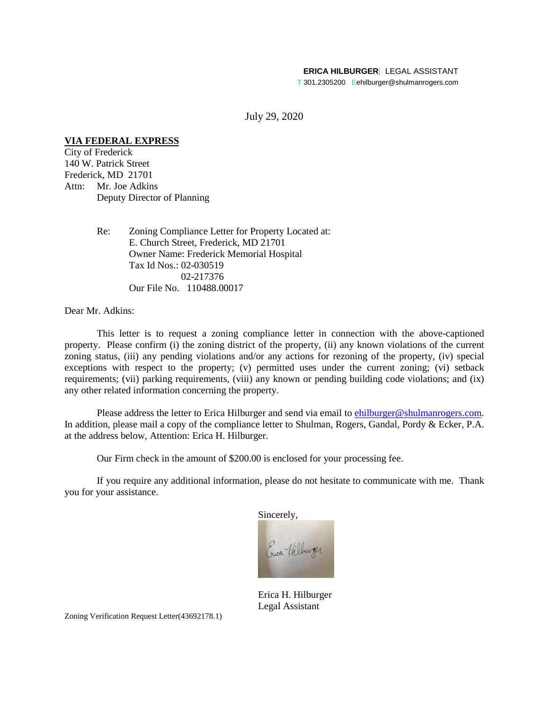#### **ERICA HILBURGER**| LEGAL ASSISTANT

**T** 301.2305200 **E**ehilburger@shulmanrogers.com

July 29, 2020

# **VIA FEDERAL EXPRESS**

City of Frederick 140 W. Patrick Street Frederick, MD 21701 Attn: Mr. Joe Adkins Deputy Director of Planning

> Re: Zoning Compliance Letter for Property Located at: E. Church Street, Frederick, MD 21701 Owner Name: Frederick Memorial Hospital Tax Id Nos.: 02-030519 02-217376 Our File No. 110488.00017

Dear Mr. Adkins:

This letter is to request a zoning compliance letter in connection with the above-captioned property. Please confirm (i) the zoning district of the property, (ii) any known violations of the current zoning status, (iii) any pending violations and/or any actions for rezoning of the property, (iv) special exceptions with respect to the property; (v) permitted uses under the current zoning; (vi) setback requirements; (vii) parking requirements, (viii) any known or pending building code violations; and (ix) any other related information concerning the property.

Please address the letter to Erica Hilburger and send via email to ehilburger@shulmanrogers.com. In addition, please mail a copy of the compliance letter to Shulman, Rogers, Gandal, Pordy & Ecker, P.A. at the address below, Attention: Erica H. Hilburger.

Our Firm check in the amount of \$200.00 is enclosed for your processing fee.

If you require any additional information, please do not hesitate to communicate with me. Thank you for your assistance.

Sincerely, Gica Hilburger

Erica H. Hilburger Legal Assistant

Zoning Verification Request Letter(43692178.1)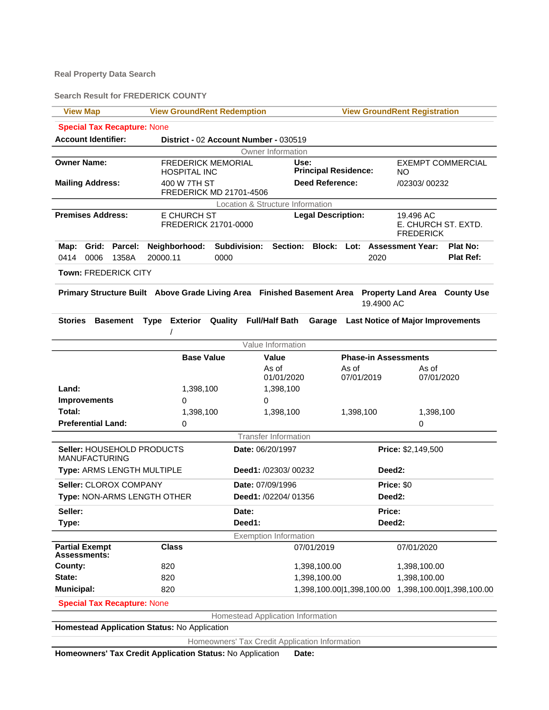### **Real Property Data Search**

**Search Result for FREDERICK COUNTY**

| <b>View Map</b>                                    | <b>View GroundRent Redemption</b>                                                                    |                                     | <b>View GroundRent Registration</b> |                                     |                                                      |                           |  |
|----------------------------------------------------|------------------------------------------------------------------------------------------------------|-------------------------------------|-------------------------------------|-------------------------------------|------------------------------------------------------|---------------------------|--|
| <b>Special Tax Recapture: None</b>                 |                                                                                                      |                                     |                                     |                                     |                                                      |                           |  |
| <b>Account Identifier:</b>                         | District - 02 Account Number - 030519                                                                |                                     |                                     |                                     |                                                      |                           |  |
|                                                    |                                                                                                      | Owner Information                   |                                     |                                     |                                                      |                           |  |
| <b>Owner Name:</b>                                 | <b>FREDERICK MEMORIAL</b><br><b>HOSPITAL INC</b>                                                     | Use:<br><b>Principal Residence:</b> |                                     |                                     | <b>EXEMPT COMMERCIAL</b><br>NO.                      |                           |  |
| <b>Mailing Address:</b>                            | 400 W 7TH ST                                                                                         |                                     | <b>Deed Reference:</b>              |                                     | /02303/00232                                         |                           |  |
|                                                    | FREDERICK MD 21701-4506                                                                              |                                     |                                     |                                     |                                                      |                           |  |
|                                                    |                                                                                                      | Location & Structure Information    |                                     |                                     |                                                      |                           |  |
| <b>Premises Address:</b>                           | E CHURCH ST<br>FREDERICK 21701-0000                                                                  | <b>Legal Description:</b>           |                                     |                                     | 19.496 AC<br>E. CHURCH ST. EXTD.<br><b>FREDERICK</b> |                           |  |
| Grid: Parcel:<br>Map:                              | Neighborhood:                                                                                        | Subdivision:<br><b>Section:</b>     |                                     | <b>Block: Lot: Assessment Year:</b> |                                                      | Plat No:                  |  |
| 0414<br>0006<br>1358A                              | 20000.11<br>0000                                                                                     |                                     |                                     | 2020                                |                                                      | <b>Plat Ref:</b>          |  |
| <b>Town: FREDERICK CITY</b>                        |                                                                                                      |                                     |                                     |                                     |                                                      |                           |  |
|                                                    |                                                                                                      |                                     |                                     |                                     |                                                      |                           |  |
|                                                    | Primary Structure Built Above Grade Living Area Finished Basement Area Property Land Area County Use |                                     |                                     | 19.4900 AC                          |                                                      |                           |  |
| Stories<br><b>Basement</b>                         | <b>Exterior</b><br>Quality<br><b>Type</b>                                                            | <b>Full/Half Bath</b>               | Garage                              |                                     | <b>Last Notice of Major Improvements</b>             |                           |  |
|                                                    |                                                                                                      |                                     |                                     |                                     |                                                      |                           |  |
|                                                    |                                                                                                      | Value Information                   |                                     |                                     |                                                      |                           |  |
|                                                    | <b>Base Value</b><br><b>Value</b><br><b>Phase-in Assessments</b>                                     |                                     |                                     |                                     |                                                      |                           |  |
|                                                    |                                                                                                      | As of                               |                                     | As of                               | As of                                                |                           |  |
|                                                    |                                                                                                      | 01/01/2020                          |                                     | 07/01/2019                          | 07/01/2020                                           |                           |  |
| Land:                                              | 1,398,100                                                                                            | 1,398,100                           |                                     |                                     |                                                      |                           |  |
| <b>Improvements</b>                                | 0                                                                                                    | 0                                   |                                     |                                     |                                                      |                           |  |
| Total:                                             | 1,398,100                                                                                            | 1,398,100                           |                                     | 1,398,100                           | 1,398,100                                            |                           |  |
| <b>Preferential Land:</b>                          | 0                                                                                                    |                                     |                                     |                                     | 0                                                    |                           |  |
|                                                    |                                                                                                      | <b>Transfer Information</b>         |                                     |                                     |                                                      |                           |  |
| Seller: HOUSEHOLD PRODUCTS<br><b>MANUFACTURING</b> |                                                                                                      | Date: 06/20/1997                    |                                     | Price: \$2,149,500                  |                                                      |                           |  |
| Type: ARMS LENGTH MULTIPLE                         |                                                                                                      | Deed1: /02303/00232                 |                                     | Deed <sub>2</sub> :                 |                                                      |                           |  |
| Seller: CLOROX COMPANY                             |                                                                                                      | Date: 07/09/1996                    |                                     |                                     | Price: \$0                                           |                           |  |
| Type: NON-ARMS LENGTH OTHER                        |                                                                                                      | Deed1: /02204/ 01356                |                                     | Deed <sub>2</sub> :                 |                                                      |                           |  |
| Seller:                                            |                                                                                                      | Date:                               |                                     | Price:                              |                                                      |                           |  |
| Type:                                              |                                                                                                      | Deed1:                              |                                     | Deed2:                              |                                                      |                           |  |
|                                                    |                                                                                                      | <b>Exemption Information</b>        |                                     |                                     |                                                      |                           |  |
| <b>Partial Exempt</b><br>Assessments:              | <b>Class</b>                                                                                         |                                     | 07/01/2019                          |                                     | 07/01/2020                                           |                           |  |
| County:                                            | 820                                                                                                  |                                     | 1,398,100.00                        |                                     | 1,398,100.00                                         |                           |  |
| State:                                             | 820                                                                                                  |                                     | 1,398,100.00                        |                                     | 1,398,100.00                                         |                           |  |
| <b>Municipal:</b>                                  | 820                                                                                                  |                                     |                                     | 1,398,100.00 1,398,100.00           |                                                      | 1,398,100.00 1,398,100.00 |  |
| <b>Special Tax Recapture: None</b>                 |                                                                                                      |                                     |                                     |                                     |                                                      |                           |  |
|                                                    |                                                                                                      | Homestead Application Information   |                                     |                                     |                                                      |                           |  |

**Homestead Application Status:** No Application

Homeowners' Tax Credit Application Information

**Homeowners' Tax Credit Application Status:** No Application **Date:**